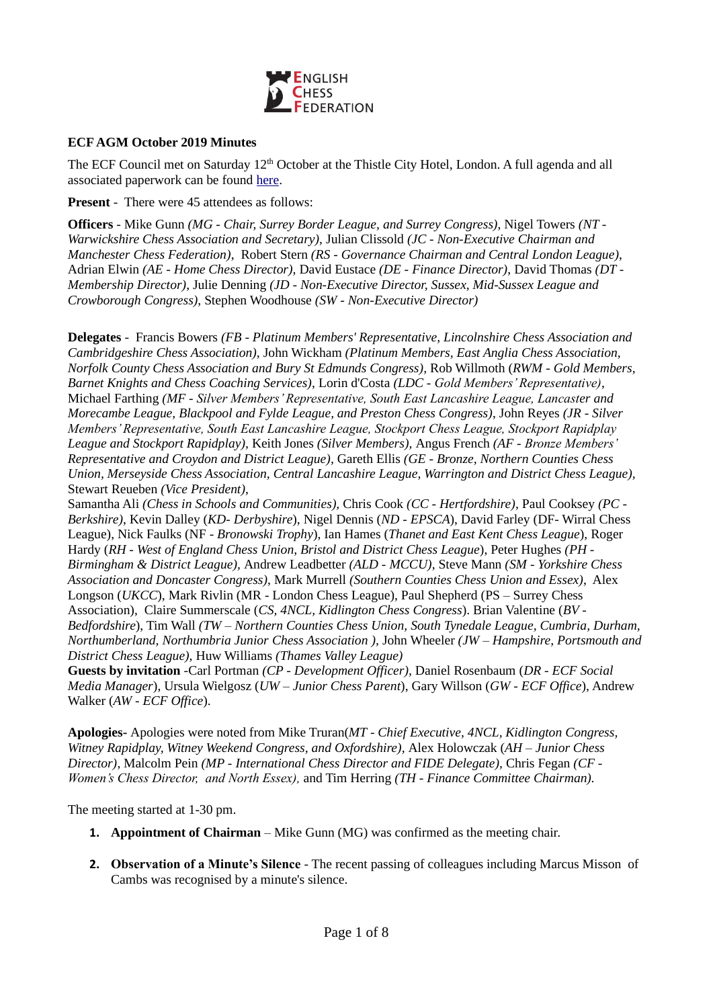

### **ECF AGM October 2019 Minutes**

The ECF Council met on Saturday 12<sup>th</sup> October at the Thistle City Hotel, London. A full agenda and all associated paperwork can be found [here.](https://www.englishchess.org.uk/about/ecf-council-and-board/)

**Present** - There were 45 attendees as follows:

**Officers** - Mike Gunn *(MG - Chair, Surrey Border League, and Surrey Congress)*, Nigel Towers *(NT - Warwickshire Chess Association and Secretary),* Julian Clissold *(JC - Non-Executive Chairman and Manchester Chess Federation)*, Robert Stern *(RS - Governance Chairman and Central London League)*, Adrian Elwin *(AE - Home Chess Director),* David Eustace *(DE - Finance Director)*, David Thomas *(DT - Membership Director)*, Julie Denning *(JD - Non-Executive Director, Sussex, Mid-Sussex League and Crowborough Congress)*, Stephen Woodhouse *(SW - Non-Executive Director)* 

**Delegates** - Francis Bowers *(FB - Platinum Members' Representative, Lincolnshire Chess Association and Cambridgeshire Chess Association),* John Wickham *(Platinum Members, East Anglia Chess Association, Norfolk County Chess Association and Bury St Edmunds Congress),* Rob Willmoth (*RWM - Gold Members, Barnet Knights and Chess Coaching Services)*, Lorin d'Costa *(LDC - Gold Members' Representative)*, Michael Farthing *(MF - Silver Members' Representative, South East Lancashire League, Lancaster and Morecambe League, Blackpool and Fylde League, and Preston Chess Congress)*, John Reyes *(JR - Silver Members' Representative, South East Lancashire League, Stockport Chess League, Stockport Rapidplay League and Stockport Rapidplay),* Keith Jones *(Silver Members),* Angus French *(AF - Bronze Members' Representative and Croydon and District League),* Gareth Ellis *(GE - Bronze, Northern Counties Chess Union, Merseyside Chess Association, Central Lancashire League, Warrington and District Chess League),*  Stewart Reueben *(Vice President),*

Samantha Ali *(Chess in Schools and Communities),* Chris Cook *(CC - Hertfordshire)*, Paul Cooksey *(PC - Berkshire)*, Kevin Dalley (*KD- Derbyshire*), Nigel Dennis (*ND - EPSCA*), David Farley (DF- Wirral Chess League), Nick Faulks (NF - *Bronowski Trophy*), Ian Hames (*Thanet and East Kent Chess League*), Roger Hardy (*RH - West of England Chess Union, Bristol and District Chess League*), Peter Hughes *(PH - Birmingham & District League),* Andrew Leadbetter *(ALD - MCCU)*, Steve Mann *(SM - Yorkshire Chess Association and Doncaster Congress)*, Mark Murrell *(Southern Counties Chess Union and Essex)*, Alex Longson (*UKCC*), Mark Rivlin (MR - London Chess League), Paul Shepherd (PS – Surrey Chess Association), Claire Summerscale (*CS, 4NCL, Kidlington Chess Congress*). Brian Valentine (*BV - Bedfordshire*), Tim Wall *(TW – Northern Counties Chess Union, South Tynedale League, Cumbria, Durham, Northumberland, Northumbria Junior Chess Association ),* John Wheeler *(JW – Hampshire, Portsmouth and District Chess League),* Huw Williams *(Thames Valley League)* 

**Guests by invitation** *-*Carl Portman *(CP - Development Officer),* Daniel Rosenbaum (*DR - ECF Social Media Manager*), Ursula Wielgosz (*UW – Junior Chess Parent*), Gary Willson (*GW - ECF Office*), Andrew Walker (*AW - ECF Office*).

**Apologies-** Apologies were noted from Mike Truran(*MT* - *Chief Executive, 4NCL, Kidlington Congress, Witney Rapidplay, Witney Weekend Congress, and Oxfordshire),* Alex Holowczak (*AH – Junior Chess Director)*, Malcolm Pein *(MP - International Chess Director and FIDE Delegate),* Chris Fegan *(CF - Women's Chess Director, and North Essex),* and Tim Herring *(TH - Finance Committee Chairman).*

The meeting started at 1-30 pm.

- **1. Appointment of Chairman**  Mike Gunn (MG) was confirmed as the meeting chair.
- **2. Observation of a Minute's Silence** The recent passing of colleagues including Marcus Misson of Cambs was recognised by a minute's silence.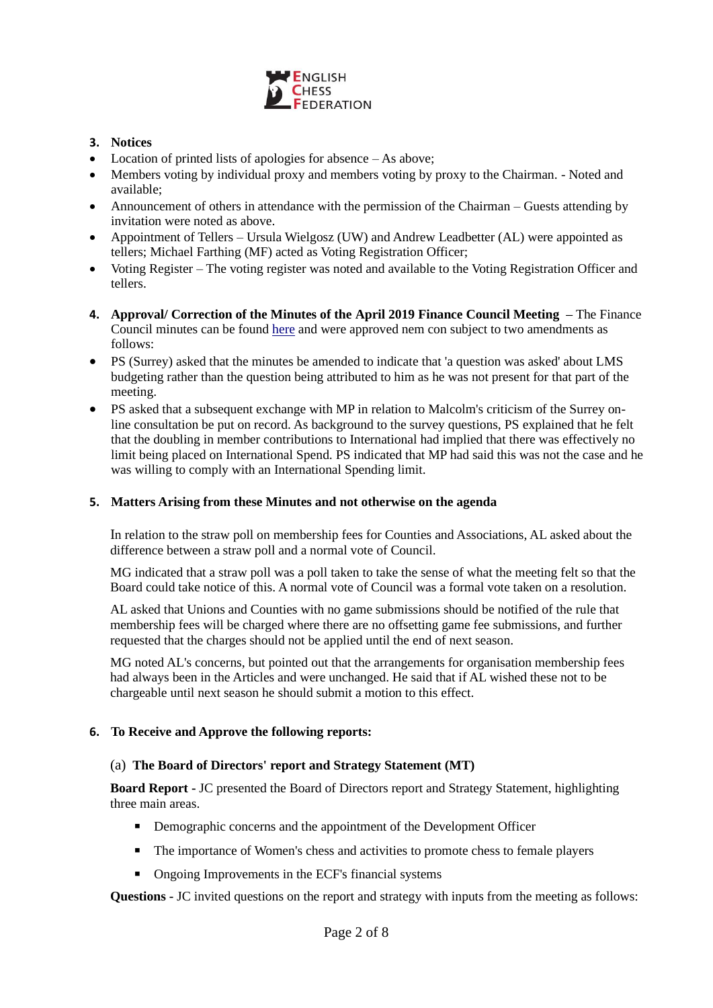

# **3. Notices**

- Location of printed lists of apologies for absence As above;
- Members voting by individual proxy and members voting by proxy to the Chairman. Noted and available;
- Announcement of others in attendance with the permission of the Chairman Guests attending by invitation were noted as above.
- Appointment of Tellers Ursula Wielgosz (UW) and Andrew Leadbetter (AL) were appointed as tellers; Michael Farthing (MF) acted as Voting Registration Officer;
- Voting Register The voting register was noted and available to the Voting Registration Officer and tellers.
- **4. Approval/ Correction of the Minutes of the April 2019 Finance Council Meeting –** The Finance Council minutes can be found [here](https://www.englishchess.org.uk/about/minutes/) and were approved nem con subject to two amendments as follows:
- PS (Surrey) asked that the minutes be amended to indicate that 'a question was asked' about LMS budgeting rather than the question being attributed to him as he was not present for that part of the meeting.
- PS asked that a subsequent exchange with MP in relation to Malcolm's criticism of the Surrey online consultation be put on record. As background to the survey questions, PS explained that he felt that the doubling in member contributions to International had implied that there was effectively no limit being placed on International Spend. PS indicated that MP had said this was not the case and he was willing to comply with an International Spending limit.

# **5. Matters Arising from these Minutes and not otherwise on the agenda**

In relation to the straw poll on membership fees for Counties and Associations, AL asked about the difference between a straw poll and a normal vote of Council.

MG indicated that a straw poll was a poll taken to take the sense of what the meeting felt so that the Board could take notice of this. A normal vote of Council was a formal vote taken on a resolution.

AL asked that Unions and Counties with no game submissions should be notified of the rule that membership fees will be charged where there are no offsetting game fee submissions, and further requested that the charges should not be applied until the end of next season.

MG noted AL's concerns, but pointed out that the arrangements for organisation membership fees had always been in the Articles and were unchanged. He said that if AL wished these not to be chargeable until next season he should submit a motion to this effect.

## **6. To Receive and Approve the following reports:**

## (a) **The Board of Directors' report and Strategy Statement (MT)**

**Board Report -** JC presented the Board of Directors report and Strategy Statement, highlighting three main areas.

- Demographic concerns and the appointment of the Development Officer
- The importance of Women's chess and activities to promote chess to female players
- Ongoing Improvements in the ECF's financial systems

**Questions -** JC invited questions on the report and strategy with inputs from the meeting as follows: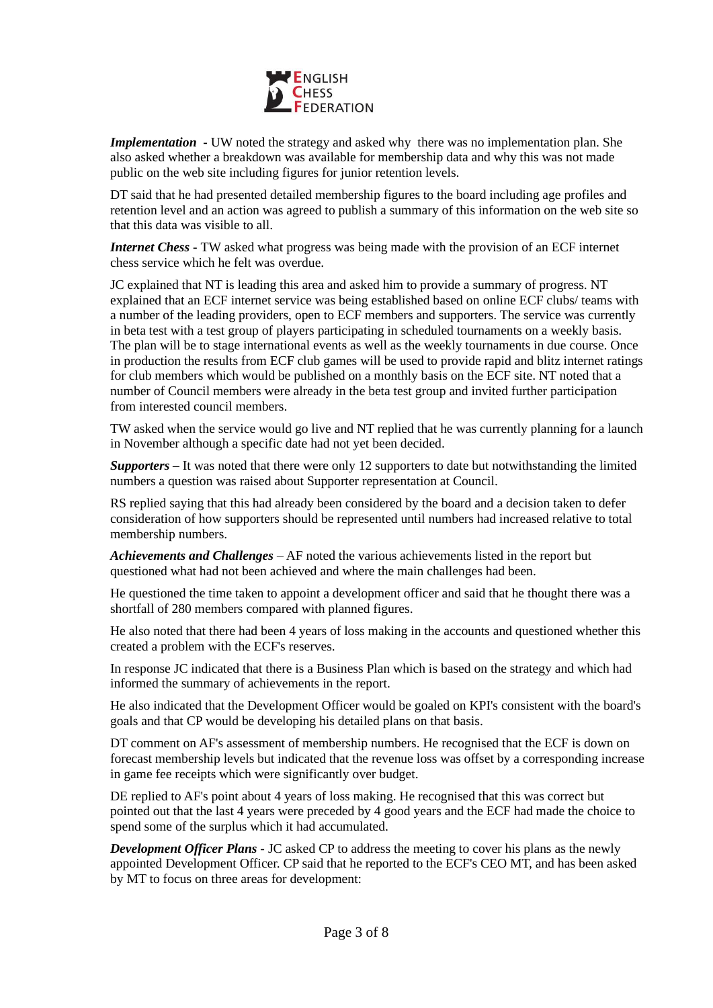

*Implementation* - UW noted the strategy and asked why there was no implementation plan. She also asked whether a breakdown was available for membership data and why this was not made public on the web site including figures for junior retention levels.

DT said that he had presented detailed membership figures to the board including age profiles and retention level and an action was agreed to publish a summary of this information on the web site so that this data was visible to all.

*Internet Chess* **-** TW asked what progress was being made with the provision of an ECF internet chess service which he felt was overdue.

JC explained that NT is leading this area and asked him to provide a summary of progress. NT explained that an ECF internet service was being established based on online ECF clubs/ teams with a number of the leading providers, open to ECF members and supporters. The service was currently in beta test with a test group of players participating in scheduled tournaments on a weekly basis. The plan will be to stage international events as well as the weekly tournaments in due course. Once in production the results from ECF club games will be used to provide rapid and blitz internet ratings for club members which would be published on a monthly basis on the ECF site. NT noted that a number of Council members were already in the beta test group and invited further participation from interested council members.

TW asked when the service would go live and NT replied that he was currently planning for a launch in November although a specific date had not yet been decided.

*Supporters* **–** It was noted that there were only 12 supporters to date but notwithstanding the limited numbers a question was raised about Supporter representation at Council.

RS replied saying that this had already been considered by the board and a decision taken to defer consideration of how supporters should be represented until numbers had increased relative to total membership numbers.

*Achievements and Challenges* – AF noted the various achievements listed in the report but questioned what had not been achieved and where the main challenges had been.

He questioned the time taken to appoint a development officer and said that he thought there was a shortfall of 280 members compared with planned figures.

He also noted that there had been 4 years of loss making in the accounts and questioned whether this created a problem with the ECF's reserves.

In response JC indicated that there is a Business Plan which is based on the strategy and which had informed the summary of achievements in the report.

He also indicated that the Development Officer would be goaled on KPI's consistent with the board's goals and that CP would be developing his detailed plans on that basis.

DT comment on AF's assessment of membership numbers. He recognised that the ECF is down on forecast membership levels but indicated that the revenue loss was offset by a corresponding increase in game fee receipts which were significantly over budget.

DE replied to AF's point about 4 years of loss making. He recognised that this was correct but pointed out that the last 4 years were preceded by 4 good years and the ECF had made the choice to spend some of the surplus which it had accumulated.

*Development Officer Plans* **-** JC asked CP to address the meeting to cover his plans as the newly appointed Development Officer. CP said that he reported to the ECF's CEO MT, and has been asked by MT to focus on three areas for development: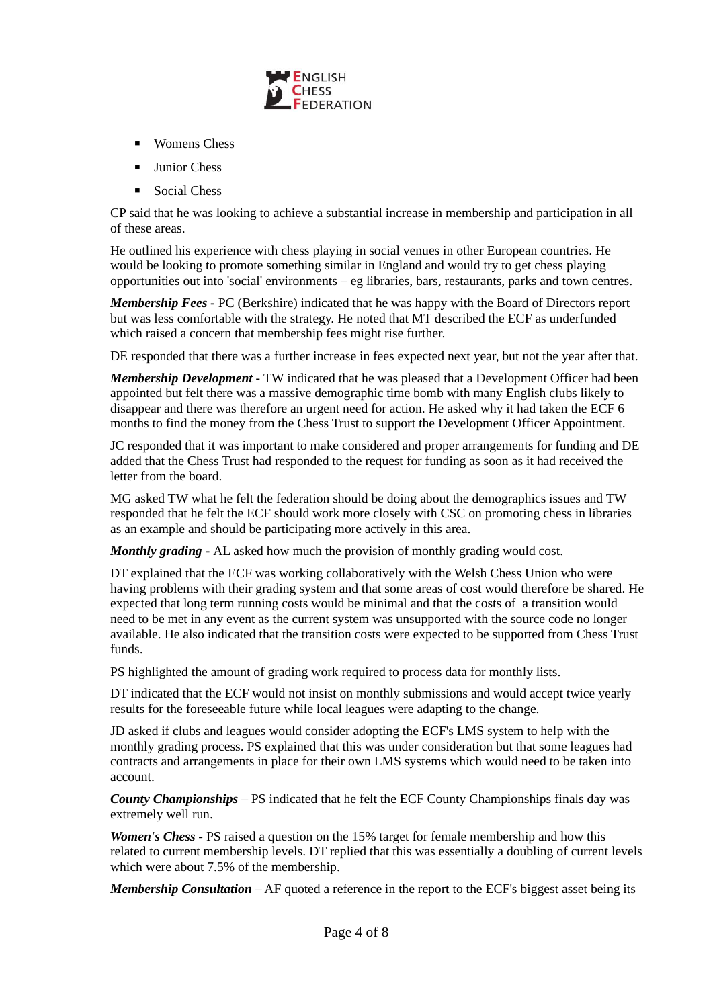

- Womens Chess
- Junior Chess
- Social Chess

CP said that he was looking to achieve a substantial increase in membership and participation in all of these areas.

He outlined his experience with chess playing in social venues in other European countries. He would be looking to promote something similar in England and would try to get chess playing opportunities out into 'social' environments – eg libraries, bars, restaurants, parks and town centres.

*Membership Fees* **-** PC (Berkshire) indicated that he was happy with the Board of Directors report but was less comfortable with the strategy. He noted that MT described the ECF as underfunded which raised a concern that membership fees might rise further.

DE responded that there was a further increase in fees expected next year, but not the year after that.

*Membership Development* **-** TW indicated that he was pleased that a Development Officer had been appointed but felt there was a massive demographic time bomb with many English clubs likely to disappear and there was therefore an urgent need for action. He asked why it had taken the ECF 6 months to find the money from the Chess Trust to support the Development Officer Appointment.

JC responded that it was important to make considered and proper arrangements for funding and DE added that the Chess Trust had responded to the request for funding as soon as it had received the letter from the board.

MG asked TW what he felt the federation should be doing about the demographics issues and TW responded that he felt the ECF should work more closely with CSC on promoting chess in libraries as an example and should be participating more actively in this area.

*Monthly grading* **-** AL asked how much the provision of monthly grading would cost.

DT explained that the ECF was working collaboratively with the Welsh Chess Union who were having problems with their grading system and that some areas of cost would therefore be shared. He expected that long term running costs would be minimal and that the costs of a transition would need to be met in any event as the current system was unsupported with the source code no longer available. He also indicated that the transition costs were expected to be supported from Chess Trust funds.

PS highlighted the amount of grading work required to process data for monthly lists.

DT indicated that the ECF would not insist on monthly submissions and would accept twice yearly results for the foreseeable future while local leagues were adapting to the change.

JD asked if clubs and leagues would consider adopting the ECF's LMS system to help with the monthly grading process. PS explained that this was under consideration but that some leagues had contracts and arrangements in place for their own LMS systems which would need to be taken into account.

*County Championships* – PS indicated that he felt the ECF County Championships finals day was extremely well run.

*Women's Chess -* PS raised a question on the 15% target for female membership and how this related to current membership levels. DT replied that this was essentially a doubling of current levels which were about 7.5% of the membership.

*Membership Consultation* – AF quoted a reference in the report to the ECF's biggest asset being its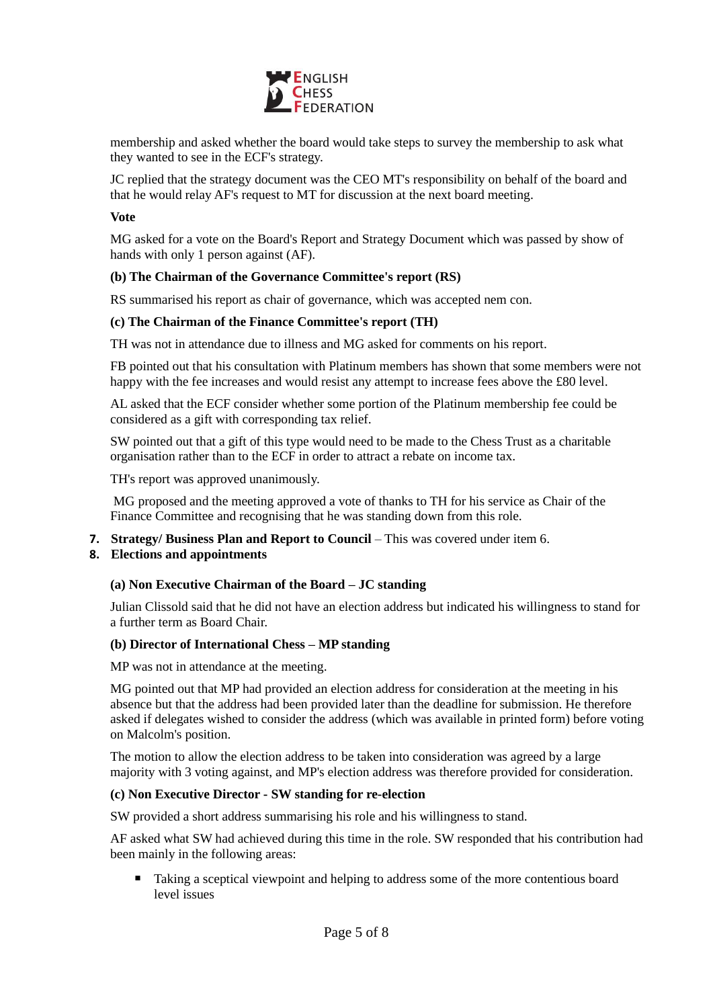

membership and asked whether the board would take steps to survey the membership to ask what they wanted to see in the ECF's strategy.

JC replied that the strategy document was the CEO MT's responsibility on behalf of the board and that he would relay AF's request to MT for discussion at the next board meeting.

#### **Vote**

MG asked for a vote on the Board's Report and Strategy Document which was passed by show of hands with only 1 person against (AF).

### **(b) The Chairman of the Governance Committee's report (RS)**

RS summarised his report as chair of governance, which was accepted nem con.

### **(c) The Chairman of the Finance Committee's report (TH)**

TH was not in attendance due to illness and MG asked for comments on his report.

FB pointed out that his consultation with Platinum members has shown that some members were not happy with the fee increases and would resist any attempt to increase fees above the £80 level.

AL asked that the ECF consider whether some portion of the Platinum membership fee could be considered as a gift with corresponding tax relief.

SW pointed out that a gift of this type would need to be made to the Chess Trust as a charitable organisation rather than to the ECF in order to attract a rebate on income tax.

TH's report was approved unanimously.

MG proposed and the meeting approved a vote of thanks to TH for his service as Chair of the Finance Committee and recognising that he was standing down from this role.

**7. Strategy/ Business Plan and Report to Council** – This was covered under item 6.

## **8. Elections and appointments**

#### **(a) Non Executive Chairman of the Board – JC standing**

Julian Clissold said that he did not have an election address but indicated his willingness to stand for a further term as Board Chair.

#### **(b) Director of International Chess – MP standing**

MP was not in attendance at the meeting.

MG pointed out that MP had provided an election address for consideration at the meeting in his absence but that the address had been provided later than the deadline for submission. He therefore asked if delegates wished to consider the address (which was available in printed form) before voting on Malcolm's position.

The motion to allow the election address to be taken into consideration was agreed by a large majority with 3 voting against, and MP's election address was therefore provided for consideration.

#### **(c) Non Executive Director - SW standing for re-election**

SW provided a short address summarising his role and his willingness to stand.

AF asked what SW had achieved during this time in the role. SW responded that his contribution had been mainly in the following areas:

■ Taking a sceptical viewpoint and helping to address some of the more contentious board level issues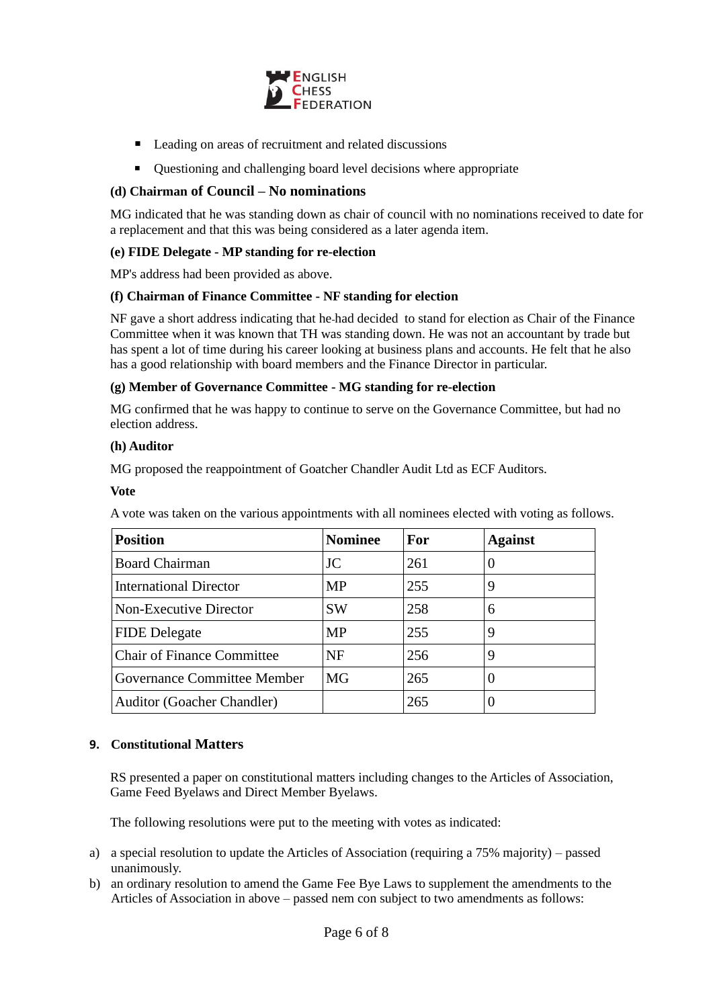

- Leading on areas of recruitment and related discussions
- Ouestioning and challenging board level decisions where appropriate

# **(d) Chairman of Council – No nominations**

MG indicated that he was standing down as chair of council with no nominations received to date for a replacement and that this was being considered as a later agenda item.

## **(e) FIDE Delegate - MP standing for re-election**

MP's address had been provided as above.

## **(f) Chairman of Finance Committee - NF standing for election**

NF gave a short address indicating that he had decided to stand for election as Chair of the Finance Committee when it was known that TH was standing down. He was not an accountant by trade but has spent a lot of time during his career looking at business plans and accounts. He felt that he also has a good relationship with board members and the Finance Director in particular.

### **(g) Member of Governance Committee - MG standing for re-election**

MG confirmed that he was happy to continue to serve on the Governance Committee, but had no election address.

### **(h) Auditor**

MG proposed the reappointment of Goatcher Chandler Audit Ltd as ECF Auditors.

#### **Vote**

A vote was taken on the various appointments with all nominees elected with voting as follows.

| <b>Position</b>                    | <b>Nominee</b> | <b>For</b> | <b>Against</b> |
|------------------------------------|----------------|------------|----------------|
| <b>Board Chairman</b>              | JC             | 261        | $\theta$       |
| <b>International Director</b>      | <b>MP</b>      | 255        | 9              |
| Non-Executive Director             | <b>SW</b>      | 258        | 6              |
| <b>FIDE</b> Delegate               | <b>MP</b>      | 255        | 9              |
| <b>Chair of Finance Committee</b>  | NF             | 256        | 9              |
| <b>Governance Committee Member</b> | MG             | 265        | $\theta$       |
| <b>Auditor (Goacher Chandler)</b>  |                | 265        | 0              |

## **9. Constitutional Matters**

RS presented a paper on constitutional matters including changes to the Articles of Association, Game Feed Byelaws and Direct Member Byelaws.

The following resolutions were put to the meeting with votes as indicated:

- a) a special resolution to update the Articles of Association (requiring a 75% majority) passed unanimously.
- b) an ordinary resolution to amend the Game Fee Bye Laws to supplement the amendments to the Articles of Association in above – passed nem con subject to two amendments as follows: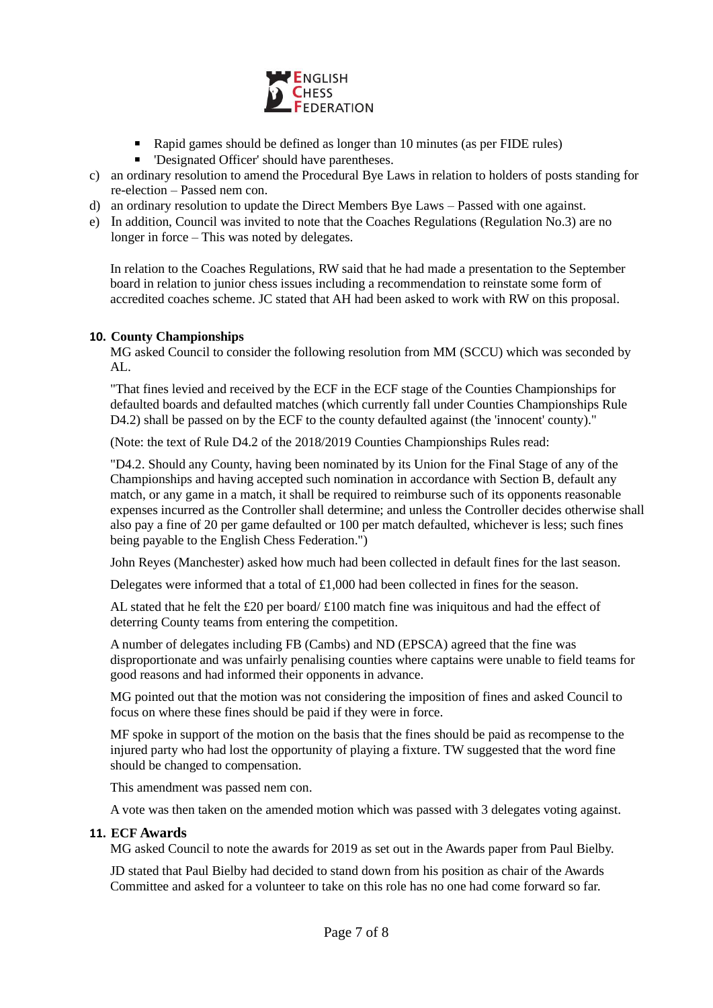

- Rapid games should be defined as longer than 10 minutes (as per FIDE rules)
- 'Designated Officer' should have parentheses.
- c) an ordinary resolution to amend the Procedural Bye Laws in relation to holders of posts standing for re-election – Passed nem con.
- d) an ordinary resolution to update the Direct Members Bye Laws Passed with one against.
- e) In addition, Council was invited to note that the Coaches Regulations (Regulation No.3) are no longer in force – This was noted by delegates.

In relation to the Coaches Regulations, RW said that he had made a presentation to the September board in relation to junior chess issues including a recommendation to reinstate some form of accredited coaches scheme. JC stated that AH had been asked to work with RW on this proposal.

# **10. County Championships**

MG asked Council to consider the following resolution from MM (SCCU) which was seconded by AL.

"That fines levied and received by the ECF in the ECF stage of the Counties Championships for defaulted boards and defaulted matches (which currently fall under Counties Championships Rule D4.2) shall be passed on by the ECF to the county defaulted against (the 'innocent' county)."

(Note: the text of Rule D4.2 of the 2018/2019 Counties Championships Rules read:

"D4.2. Should any County, having been nominated by its Union for the Final Stage of any of the Championships and having accepted such nomination in accordance with Section B, default any match, or any game in a match, it shall be required to reimburse such of its opponents reasonable expenses incurred as the Controller shall determine; and unless the Controller decides otherwise shall also pay a fine of 20 per game defaulted or 100 per match defaulted, whichever is less; such fines being payable to the English Chess Federation.")

John Reyes (Manchester) asked how much had been collected in default fines for the last season.

Delegates were informed that a total of £1,000 had been collected in fines for the season.

AL stated that he felt the £20 per board/ $\pounds$ 100 match fine was iniquitous and had the effect of deterring County teams from entering the competition.

A number of delegates including FB (Cambs) and ND (EPSCA) agreed that the fine was disproportionate and was unfairly penalising counties where captains were unable to field teams for good reasons and had informed their opponents in advance.

MG pointed out that the motion was not considering the imposition of fines and asked Council to focus on where these fines should be paid if they were in force.

MF spoke in support of the motion on the basis that the fines should be paid as recompense to the injured party who had lost the opportunity of playing a fixture. TW suggested that the word fine should be changed to compensation.

This amendment was passed nem con.

A vote was then taken on the amended motion which was passed with 3 delegates voting against.

## **11. ECF Awards**

MG asked Council to note the awards for 2019 as set out in the Awards paper from Paul Bielby.

JD stated that Paul Bielby had decided to stand down from his position as chair of the Awards Committee and asked for a volunteer to take on this role has no one had come forward so far.